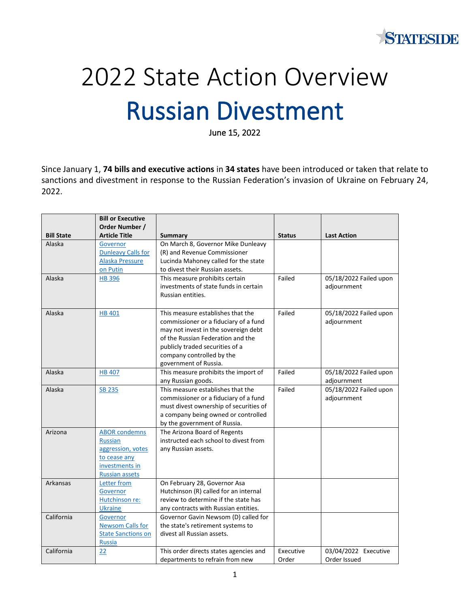

## 2022 State Action Overview Russian Divestment

June 15, 2022

Since January 1, **74 bills and executive actions** in **34 states** have been introduced or taken that relate to sanctions and divestment in response to the Russian Federation's invasion of Ukraine on February 24, 2022.

|                   | <b>Bill or Executive</b>  |                                        |               |                        |
|-------------------|---------------------------|----------------------------------------|---------------|------------------------|
|                   | Order Number /            |                                        |               |                        |
| <b>Bill State</b> | <b>Article Title</b>      | <b>Summary</b>                         | <b>Status</b> | <b>Last Action</b>     |
| Alaska            | Governor                  | On March 8, Governor Mike Dunleavy     |               |                        |
|                   | <b>Dunleavy Calls for</b> | (R) and Revenue Commissioner           |               |                        |
|                   | <b>Alaska Pressure</b>    | Lucinda Mahoney called for the state   |               |                        |
|                   | on Putin                  | to divest their Russian assets.        |               |                        |
| Alaska            | <b>HB396</b>              | This measure prohibits certain         | Failed        | 05/18/2022 Failed upon |
|                   |                           | investments of state funds in certain  |               | adjournment            |
|                   |                           | Russian entities.                      |               |                        |
|                   |                           |                                        |               |                        |
| Alaska            | <b>HB 401</b>             | This measure establishes that the      | Failed        | 05/18/2022 Failed upon |
|                   |                           | commissioner or a fiduciary of a fund  |               | adjournment            |
|                   |                           | may not invest in the sovereign debt   |               |                        |
|                   |                           | of the Russian Federation and the      |               |                        |
|                   |                           | publicly traded securities of a        |               |                        |
|                   |                           | company controlled by the              |               |                        |
|                   |                           | government of Russia.                  |               |                        |
| Alaska            | <b>HB 407</b>             | This measure prohibits the import of   | Failed        | 05/18/2022 Failed upon |
|                   |                           | any Russian goods.                     |               | adjournment            |
| Alaska            | <b>SB 235</b>             | This measure establishes that the      | Failed        | 05/18/2022 Failed upon |
|                   |                           | commissioner or a fiduciary of a fund  |               | adjournment            |
|                   |                           | must divest ownership of securities of |               |                        |
|                   |                           | a company being owned or controlled    |               |                        |
|                   |                           | by the government of Russia.           |               |                        |
| Arizona           | <b>ABOR</b> condemns      | The Arizona Board of Regents           |               |                        |
|                   | <b>Russian</b>            | instructed each school to divest from  |               |                        |
|                   | aggression, votes         | any Russian assets.                    |               |                        |
|                   | to cease any              |                                        |               |                        |
|                   | investments in            |                                        |               |                        |
|                   | <b>Russian assets</b>     |                                        |               |                        |
| Arkansas          | Letter from               | On February 28, Governor Asa           |               |                        |
|                   | Governor                  | Hutchinson (R) called for an internal  |               |                        |
|                   | Hutchinson re:            | review to determine if the state has   |               |                        |
|                   | <b>Ukraine</b>            | any contracts with Russian entities.   |               |                        |
| California        | Governor                  | Governor Gavin Newsom (D) called for   |               |                        |
|                   | <b>Newsom Calls for</b>   | the state's retirement systems to      |               |                        |
|                   | <b>State Sanctions on</b> | divest all Russian assets.             |               |                        |
|                   | Russia                    |                                        |               |                        |
| California        | 22                        | This order directs states agencies and | Executive     | 03/04/2022 Executive   |
|                   |                           | departments to refrain from new        | Order         | Order Issued           |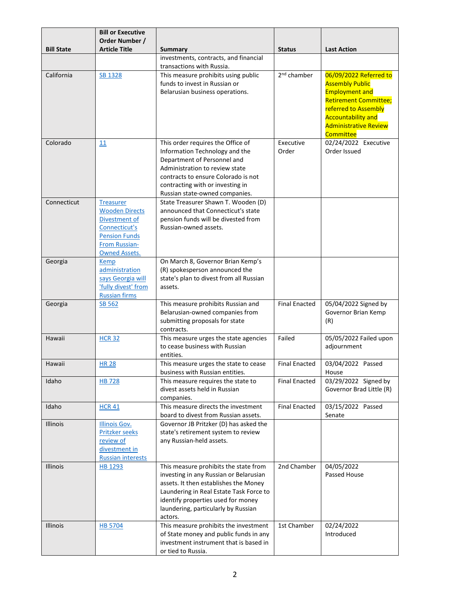|                   | <b>Bill or Executive</b><br>Order Number /                                                                                                   |                                                                                                                                                                                                                                                             |                         |                                                                                                                                                                                                                    |
|-------------------|----------------------------------------------------------------------------------------------------------------------------------------------|-------------------------------------------------------------------------------------------------------------------------------------------------------------------------------------------------------------------------------------------------------------|-------------------------|--------------------------------------------------------------------------------------------------------------------------------------------------------------------------------------------------------------------|
| <b>Bill State</b> | <b>Article Title</b>                                                                                                                         | <b>Summary</b>                                                                                                                                                                                                                                              | <b>Status</b>           | <b>Last Action</b>                                                                                                                                                                                                 |
|                   |                                                                                                                                              | investments, contracts, and financial<br>transactions with Russia.                                                                                                                                                                                          |                         |                                                                                                                                                                                                                    |
| California        | SB 1328                                                                                                                                      | This measure prohibits using public<br>funds to invest in Russian or<br>Belarusian business operations.                                                                                                                                                     | 2 <sup>nd</sup> chamber | 06/09/2022 Referred to<br><b>Assembly Public</b><br><b>Employment and</b><br><b>Retirement Committee;</b><br>referred to Assembly<br><b>Accountability and</b><br><b>Administrative Review</b><br><b>Committee</b> |
| Colorado          | 11                                                                                                                                           | This order requires the Office of<br>Information Technology and the<br>Department of Personnel and<br>Administration to review state<br>contracts to ensure Colorado is not<br>contracting with or investing in<br>Russian state-owned companies.           | Executive<br>Order      | 02/24/2022 Executive<br>Order Issued                                                                                                                                                                               |
| Connecticut       | <b>Treasurer</b><br><b>Wooden Directs</b><br>Divestment of<br>Connecticut's<br><b>Pension Funds</b><br>From Russian-<br><b>Owned Assets.</b> | State Treasurer Shawn T. Wooden (D)<br>announced that Connecticut's state<br>pension funds will be divested from<br>Russian-owned assets.                                                                                                                   |                         |                                                                                                                                                                                                                    |
| Georgia           | <b>Kemp</b><br>administration<br>says Georgia will<br>'fully divest' from<br><b>Russian firms</b>                                            | On March 8, Governor Brian Kemp's<br>(R) spokesperson announced the<br>state's plan to divest from all Russian<br>assets.                                                                                                                                   |                         |                                                                                                                                                                                                                    |
| Georgia           | <b>SB 562</b>                                                                                                                                | This measure prohibits Russian and<br>Belarusian-owned companies from<br>submitting proposals for state<br>contracts.                                                                                                                                       | <b>Final Enacted</b>    | 05/04/2022 Signed by<br>Governor Brian Kemp<br>(R)                                                                                                                                                                 |
| Hawaii            | <b>HCR 32</b>                                                                                                                                | This measure urges the state agencies<br>to cease business with Russian<br>entities.                                                                                                                                                                        | Failed                  | 05/05/2022 Failed upon<br>adjournment                                                                                                                                                                              |
| Hawaii            | <b>HR 28</b>                                                                                                                                 | This measure urges the state to cease<br>business with Russian entities.                                                                                                                                                                                    | <b>Final Enacted</b>    | 03/04/2022 Passed<br>House                                                                                                                                                                                         |
| Idaho             | <b>HB 728</b>                                                                                                                                | This measure requires the state to<br>divest assets held in Russian<br>companies.                                                                                                                                                                           | <b>Final Enacted</b>    | 03/29/2022 Signed by<br>Governor Brad Little (R)                                                                                                                                                                   |
| Idaho             | <b>HCR 41</b>                                                                                                                                | This measure directs the investment<br>board to divest from Russian assets.                                                                                                                                                                                 | <b>Final Enacted</b>    | 03/15/2022 Passed<br>Senate                                                                                                                                                                                        |
| Illinois          | <b>Illinois Gov.</b><br>Pritzker seeks<br>review of<br>divestment in<br><b>Russian interests</b>                                             | Governor JB Pritzker (D) has asked the<br>state's retirement system to review<br>any Russian-held assets.                                                                                                                                                   |                         |                                                                                                                                                                                                                    |
| <b>Illinois</b>   | HB 1293                                                                                                                                      | This measure prohibits the state from<br>investing in any Russian or Belarusian<br>assets. It then establishes the Money<br>Laundering in Real Estate Task Force to<br>identify properties used for money<br>laundering, particularly by Russian<br>actors. | 2nd Chamber             | 04/05/2022<br>Passed House                                                                                                                                                                                         |
| Illinois          | <b>HB 5704</b>                                                                                                                               | This measure prohibits the investment<br>of State money and public funds in any<br>investment instrument that is based in<br>or tied to Russia.                                                                                                             | 1st Chamber             | 02/24/2022<br>Introduced                                                                                                                                                                                           |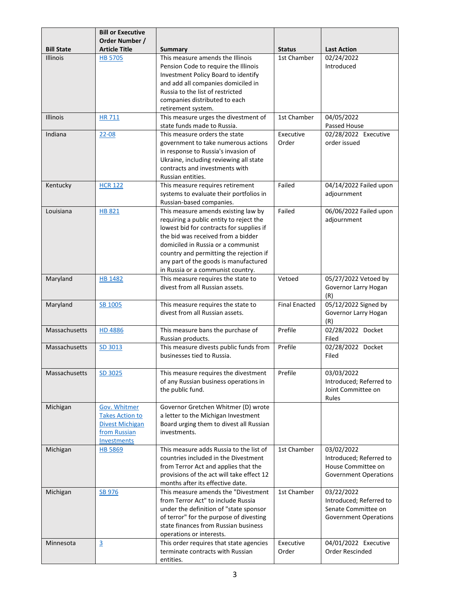|                   | <b>Bill or Executive</b>                                                                               |                                                                                                                                                                                                                                                                                                                                 |                      |                                                                                              |
|-------------------|--------------------------------------------------------------------------------------------------------|---------------------------------------------------------------------------------------------------------------------------------------------------------------------------------------------------------------------------------------------------------------------------------------------------------------------------------|----------------------|----------------------------------------------------------------------------------------------|
|                   | Order Number /                                                                                         |                                                                                                                                                                                                                                                                                                                                 |                      |                                                                                              |
| <b>Bill State</b> | <b>Article Title</b>                                                                                   | <b>Summary</b>                                                                                                                                                                                                                                                                                                                  | <b>Status</b>        | <b>Last Action</b>                                                                           |
| <b>Illinois</b>   | <b>HB 5705</b>                                                                                         | This measure amends the Illinois<br>Pension Code to require the Illinois<br>Investment Policy Board to identify<br>and add all companies domiciled in<br>Russia to the list of restricted<br>companies distributed to each<br>retirement system.                                                                                | 1st Chamber          | 02/24/2022<br>Introduced                                                                     |
| <b>Illinois</b>   | <b>HR711</b>                                                                                           | This measure urges the divestment of<br>state funds made to Russia.                                                                                                                                                                                                                                                             | 1st Chamber          | 04/05/2022<br>Passed House                                                                   |
| Indiana           | $22 - 08$                                                                                              | This measure orders the state<br>government to take numerous actions<br>in response to Russia's invasion of<br>Ukraine, including reviewing all state<br>contracts and investments with<br>Russian entities.                                                                                                                    | Executive<br>Order   | 02/28/2022 Executive<br>order issued                                                         |
| Kentucky          | <b>HCR 122</b>                                                                                         | This measure requires retirement<br>systems to evaluate their portfolios in<br>Russian-based companies.                                                                                                                                                                                                                         | Failed               | 04/14/2022 Failed upon<br>adjournment                                                        |
| Louisiana         | HB 821                                                                                                 | This measure amends existing law by<br>requiring a public entity to reject the<br>lowest bid for contracts for supplies if<br>the bid was received from a bidder<br>domiciled in Russia or a communist<br>country and permitting the rejection if<br>any part of the goods is manufactured<br>in Russia or a communist country. | Failed               | 06/06/2022 Failed upon<br>adjournment                                                        |
| Maryland          | <b>HB 1482</b>                                                                                         | This measure requires the state to<br>divest from all Russian assets.                                                                                                                                                                                                                                                           | Vetoed               | 05/27/2022 Vetoed by<br>Governor Larry Hogan<br>(R)                                          |
| Maryland          | SB 1005                                                                                                | This measure requires the state to<br>divest from all Russian assets.                                                                                                                                                                                                                                                           | <b>Final Enacted</b> | 05/12/2022 Signed by<br>Governor Larry Hogan<br>(R)                                          |
| Massachusetts     | <b>HD 4886</b>                                                                                         | This measure bans the purchase of<br>Russian products.                                                                                                                                                                                                                                                                          | Prefile              | 02/28/2022 Docket<br>Filed                                                                   |
| Massachusetts     | SD 3013                                                                                                | This measure divests public funds from<br>businesses tied to Russia.                                                                                                                                                                                                                                                            | Prefile              | 02/28/2022 Docket<br>Filed                                                                   |
| Massachusetts     | SD 3025                                                                                                | This measure requires the divestment<br>of any Russian business operations in<br>the public fund.                                                                                                                                                                                                                               | Prefile              | 03/03/2022<br>Introduced; Referred to<br>Joint Committee on<br>Rules                         |
| Michigan          | <b>Gov. Whitmer</b><br><b>Takes Action to</b><br><b>Divest Michigan</b><br>from Russian<br>Investments | Governor Gretchen Whitmer (D) wrote<br>a letter to the Michigan Investment<br>Board urging them to divest all Russian<br>investments.                                                                                                                                                                                           |                      |                                                                                              |
| Michigan          | <b>HB 5869</b>                                                                                         | This measure adds Russia to the list of<br>countries included in the Divestment<br>from Terror Act and applies that the<br>provisions of the act will take effect 12<br>months after its effective date.                                                                                                                        | 1st Chamber          | 03/02/2022<br>Introduced; Referred to<br>House Committee on<br><b>Government Operations</b>  |
| Michigan          | SB 976                                                                                                 | This measure amends the "Divestment<br>from Terror Act" to include Russia<br>under the definition of "state sponsor<br>of terror" for the purpose of divesting<br>state finances from Russian business<br>operations or interests.                                                                                              | 1st Chamber          | 03/22/2022<br>Introduced; Referred to<br>Senate Committee on<br><b>Government Operations</b> |
| Minnesota         | $\overline{3}$                                                                                         | This order requires that state agencies<br>terminate contracts with Russian<br>entities.                                                                                                                                                                                                                                        | Executive<br>Order   | 04/01/2022 Executive<br>Order Rescinded                                                      |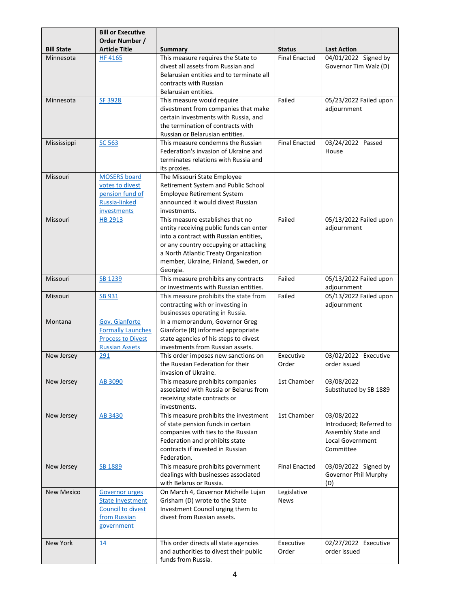|                   | <b>Bill or Executive</b>               |                                                                                |                      |                                       |
|-------------------|----------------------------------------|--------------------------------------------------------------------------------|----------------------|---------------------------------------|
| <b>Bill State</b> | Order Number /<br><b>Article Title</b> |                                                                                | <b>Status</b>        | <b>Last Action</b>                    |
| Minnesota         | <b>HF4165</b>                          | <b>Summary</b><br>This measure requires the State to                           | <b>Final Enacted</b> | 04/01/2022 Signed by                  |
|                   |                                        | divest all assets from Russian and                                             |                      | Governor Tim Walz (D)                 |
|                   |                                        | Belarusian entities and to terminate all                                       |                      |                                       |
|                   |                                        | contracts with Russian                                                         |                      |                                       |
|                   |                                        | Belarusian entities.                                                           |                      |                                       |
| Minnesota         | <b>SF 3928</b>                         | This measure would require                                                     | Failed               | 05/23/2022 Failed upon                |
|                   |                                        | divestment from companies that make                                            |                      | adjournment                           |
|                   |                                        | certain investments with Russia, and                                           |                      |                                       |
|                   |                                        | the termination of contracts with<br>Russian or Belarusian entities.           |                      |                                       |
| Mississippi       | SC 563                                 | This measure condemns the Russian                                              | <b>Final Enacted</b> | 03/24/2022 Passed                     |
|                   |                                        | Federation's invasion of Ukraine and                                           |                      | House                                 |
|                   |                                        | terminates relations with Russia and                                           |                      |                                       |
|                   |                                        | its proxies.                                                                   |                      |                                       |
| Missouri          | <b>MOSERS</b> board                    | The Missouri State Employee                                                    |                      |                                       |
|                   | votes to divest                        | Retirement System and Public School                                            |                      |                                       |
|                   | pension fund of                        | <b>Employee Retirement System</b>                                              |                      |                                       |
|                   | Russia-linked                          | announced it would divest Russian                                              |                      |                                       |
| Missouri          | investments<br>HB 2913                 | investments.<br>This measure establishes that no                               | Failed               | 05/13/2022 Failed upon                |
|                   |                                        | entity receiving public funds can enter                                        |                      | adjournment                           |
|                   |                                        | into a contract with Russian entities,                                         |                      |                                       |
|                   |                                        | or any country occupying or attacking                                          |                      |                                       |
|                   |                                        | a North Atlantic Treaty Organization                                           |                      |                                       |
|                   |                                        | member, Ukraine, Finland, Sweden, or                                           |                      |                                       |
|                   |                                        | Georgia.                                                                       |                      |                                       |
| Missouri          | SB 1239                                | This measure prohibits any contracts                                           | Failed               | 05/13/2022 Failed upon                |
| Missouri          | <b>SB 931</b>                          | or investments with Russian entities.<br>This measure prohibits the state from | Failed               | adjournment<br>05/13/2022 Failed upon |
|                   |                                        | contracting with or investing in                                               |                      | adjournment                           |
|                   |                                        | businesses operating in Russia.                                                |                      |                                       |
| Montana           | Gov. Gianforte                         | In a memorandum, Governor Greg                                                 |                      |                                       |
|                   | <b>Formally Launches</b>               | Gianforte (R) informed appropriate                                             |                      |                                       |
|                   | <b>Process to Divest</b>               | state agencies of his steps to divest                                          |                      |                                       |
|                   | <b>Russian Assets</b>                  | investments from Russian assets.                                               |                      |                                       |
| New Jersey        | 291                                    | This order imposes new sanctions on                                            | Executive            | 03/02/2022 Executive                  |
|                   |                                        | the Russian Federation for their<br>invasion of Ukraine.                       | Order                | order issued                          |
| New Jersey        | <b>AB 3090</b>                         | This measure prohibits companies                                               | 1st Chamber          | 03/08/2022                            |
|                   |                                        | associated with Russia or Belarus from                                         |                      | Substituted by SB 1889                |
|                   |                                        | receiving state contracts or                                                   |                      |                                       |
|                   |                                        | investments.                                                                   |                      |                                       |
| New Jersey        | AB 3430                                | This measure prohibits the investment                                          | 1st Chamber          | 03/08/2022                            |
|                   |                                        | of state pension funds in certain                                              |                      | Introduced; Referred to               |
|                   |                                        | companies with ties to the Russian                                             |                      | Assembly State and                    |
|                   |                                        | Federation and prohibits state                                                 |                      | Local Government                      |
|                   |                                        | contracts if invested in Russian<br>Federation.                                |                      | Committee                             |
| New Jersey        | SB 1889                                | This measure prohibits government                                              | <b>Final Enacted</b> | 03/09/2022 Signed by                  |
|                   |                                        | dealings with businesses associated                                            |                      | Governor Phil Murphy                  |
|                   |                                        | with Belarus or Russia.                                                        |                      | (D)                                   |
| <b>New Mexico</b> | <b>Governor urges</b>                  | On March 4, Governor Michelle Lujan                                            | Legislative          |                                       |
|                   | <b>State Investment</b>                | Grisham (D) wrote to the State                                                 | <b>News</b>          |                                       |
|                   | <b>Council to divest</b>               | Investment Council urging them to                                              |                      |                                       |
|                   | from Russian                           | divest from Russian assets.                                                    |                      |                                       |
|                   | government                             |                                                                                |                      |                                       |
| <b>New York</b>   | <u>14</u>                              | This order directs all state agencies                                          | Executive            | 02/27/2022 Executive                  |
|                   |                                        | and authorities to divest their public                                         | Order                | order issued                          |
|                   |                                        | funds from Russia.                                                             |                      |                                       |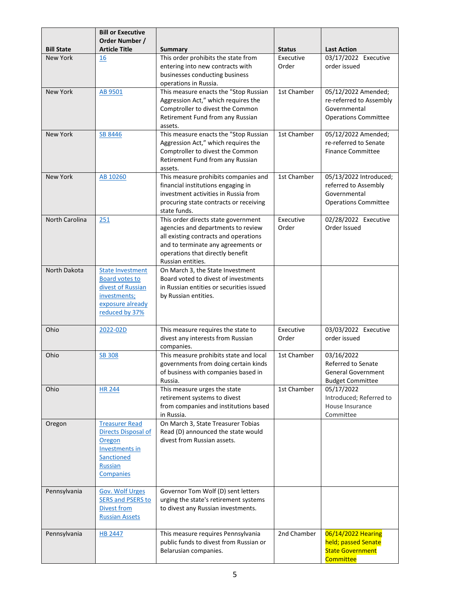|                       | <b>Bill or Executive</b>                                                                                                                   |                                                                                                                                                                                                                   |                    |                                                                                               |
|-----------------------|--------------------------------------------------------------------------------------------------------------------------------------------|-------------------------------------------------------------------------------------------------------------------------------------------------------------------------------------------------------------------|--------------------|-----------------------------------------------------------------------------------------------|
|                       | Order Number /                                                                                                                             |                                                                                                                                                                                                                   |                    |                                                                                               |
| <b>Bill State</b>     | <b>Article Title</b>                                                                                                                       | <b>Summary</b>                                                                                                                                                                                                    | <b>Status</b>      | <b>Last Action</b>                                                                            |
| New York              | 16                                                                                                                                         | This order prohibits the state from<br>entering into new contracts with<br>businesses conducting business<br>operations in Russia.                                                                                | Executive<br>Order | 03/17/2022 Executive<br>order issued                                                          |
| New York              | AB 9501                                                                                                                                    | This measure enacts the "Stop Russian<br>Aggression Act," which requires the<br>Comptroller to divest the Common<br>Retirement Fund from any Russian<br>assets.                                                   | 1st Chamber        | 05/12/2022 Amended;<br>re-referred to Assembly<br>Governmental<br><b>Operations Committee</b> |
| <b>New York</b>       | SB 8446                                                                                                                                    | This measure enacts the "Stop Russian<br>Aggression Act," which requires the<br>Comptroller to divest the Common<br>Retirement Fund from any Russian<br>assets.                                                   | 1st Chamber        | 05/12/2022 Amended;<br>re-referred to Senate<br><b>Finance Committee</b>                      |
| <b>New York</b>       | AB 10260                                                                                                                                   | This measure prohibits companies and<br>financial institutions engaging in<br>investment activities in Russia from<br>procuring state contracts or receiving<br>state funds.                                      | 1st Chamber        | 05/13/2022 Introduced;<br>referred to Assembly<br>Governmental<br><b>Operations Committee</b> |
| <b>North Carolina</b> | 251                                                                                                                                        | This order directs state government<br>agencies and departments to review<br>all existing contracts and operations<br>and to terminate any agreements or<br>operations that directly benefit<br>Russian entities. | Executive<br>Order | 02/28/2022 Executive<br>Order Issued                                                          |
| North Dakota          | <b>State Investment</b><br><b>Board votes to</b><br>divest of Russian<br>investments;<br>exposure already<br>reduced by 37%                | On March 3, the State Investment<br>Board voted to divest of investments<br>in Russian entities or securities issued<br>by Russian entities.                                                                      |                    |                                                                                               |
| Ohio                  | 2022-02D                                                                                                                                   | This measure requires the state to<br>divest any interests from Russian<br>companies.                                                                                                                             | Executive<br>Order | 03/03/2022 Executive<br>order issued                                                          |
| Ohio                  | <b>SB 308</b>                                                                                                                              | This measure prohibits state and local<br>governments from doing certain kinds<br>of business with companies based in<br>Russia.                                                                                  | 1st Chamber        | 03/16/2022<br>Referred to Senate<br>General Government<br><b>Budget Committee</b>             |
| Ohio                  | <b>HR 244</b>                                                                                                                              | This measure urges the state<br>retirement systems to divest<br>from companies and institutions based<br>in Russia.                                                                                               | 1st Chamber        | 05/17/2022<br>Introduced; Referred to<br>House Insurance<br>Committee                         |
| Oregon                | <b>Treasurer Read</b><br><b>Directs Disposal of</b><br>Oregon<br><b>Investments in</b><br>Sanctioned<br><b>Russian</b><br><b>Companies</b> | On March 3, State Treasurer Tobias<br>Read (D) announced the state would<br>divest from Russian assets.                                                                                                           |                    |                                                                                               |
| Pennsylvania          | <b>Gov. Wolf Urges</b><br><b>SERS and PSERS to</b><br><b>Divest from</b><br><b>Russian Assets</b>                                          | Governor Tom Wolf (D) sent letters<br>urging the state's retirement systems<br>to divest any Russian investments.                                                                                                 |                    |                                                                                               |
| Pennsylvania          | <b>HB 2447</b>                                                                                                                             | This measure requires Pennsylvania<br>public funds to divest from Russian or<br>Belarusian companies.                                                                                                             | 2nd Chamber        | 06/14/2022 Hearing<br>held; passed Senate<br><b>State Government</b><br><b>Committee</b>      |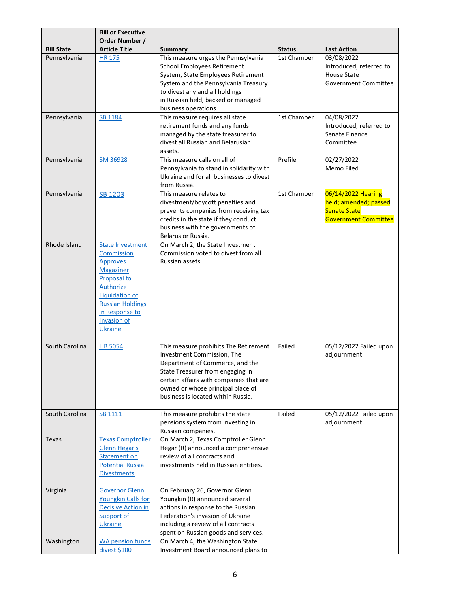|                   | <b>Bill or Executive</b>                                                                                                                                                                                        |                                                                                                                                                                                                                                                                  |               |                                                                                                   |
|-------------------|-----------------------------------------------------------------------------------------------------------------------------------------------------------------------------------------------------------------|------------------------------------------------------------------------------------------------------------------------------------------------------------------------------------------------------------------------------------------------------------------|---------------|---------------------------------------------------------------------------------------------------|
|                   | Order Number /                                                                                                                                                                                                  |                                                                                                                                                                                                                                                                  |               |                                                                                                   |
| <b>Bill State</b> | <b>Article Title</b>                                                                                                                                                                                            | Summary                                                                                                                                                                                                                                                          | <b>Status</b> | <b>Last Action</b>                                                                                |
| Pennsylvania      | <b>HR 175</b>                                                                                                                                                                                                   | This measure urges the Pennsylvania<br><b>School Employees Retirement</b><br>System, State Employees Retirement<br>System and the Pennsylvania Treasury<br>to divest any and all holdings<br>in Russian held, backed or managed                                  | 1st Chamber   | 03/08/2022<br>Introduced; referred to<br><b>House State</b><br>Government Committee               |
|                   |                                                                                                                                                                                                                 | business operations.                                                                                                                                                                                                                                             |               |                                                                                                   |
| Pennsylvania      | <b>SB 1184</b>                                                                                                                                                                                                  | This measure requires all state<br>retirement funds and any funds<br>managed by the state treasurer to<br>divest all Russian and Belarusian<br>assets.                                                                                                           | 1st Chamber   | 04/08/2022<br>Introduced; referred to<br>Senate Finance<br>Committee                              |
| Pennsylvania      | SM 36928                                                                                                                                                                                                        | This measure calls on all of<br>Pennsylvania to stand in solidarity with<br>Ukraine and for all businesses to divest<br>from Russia.                                                                                                                             | Prefile       | 02/27/2022<br>Memo Filed                                                                          |
| Pennsylvania      | SB 1203                                                                                                                                                                                                         | This measure relates to<br>divestment/boycott penalties and<br>prevents companies from receiving tax<br>credits in the state if they conduct<br>business with the governments of<br>Belarus or Russia.                                                           | 1st Chamber   | 06/14/2022 Hearing<br>held; amended; passed<br><b>Senate State</b><br><b>Government Committee</b> |
| Rhode Island      | <b>State Investment</b><br>Commission<br><b>Approves</b><br><b>Magaziner</b><br>Proposal to<br><b>Authorize</b><br>Liquidation of<br><b>Russian Holdings</b><br>in Response to<br><b>Invasion of</b><br>Ukraine | On March 2, the State Investment<br>Commission voted to divest from all<br>Russian assets.                                                                                                                                                                       |               |                                                                                                   |
| South Carolina    | <b>HB 5054</b>                                                                                                                                                                                                  | This measure prohibits The Retirement<br>Investment Commission, The<br>Department of Commerce, and the<br>State Treasurer from engaging in<br>certain affairs with companies that are<br>owned or whose principal place of<br>business is located within Russia. | Failed        | 05/12/2022 Failed upon<br>adjournment                                                             |
| South Carolina    | <b>SB 1111</b>                                                                                                                                                                                                  | This measure prohibits the state<br>pensions system from investing in<br>Russian companies.                                                                                                                                                                      | Failed        | 05/12/2022 Failed upon<br>adjournment                                                             |
| Texas             | <b>Texas Comptroller</b><br><b>Glenn Hegar's</b><br><b>Statement on</b><br><b>Potential Russia</b><br><b>Divestments</b>                                                                                        | On March 2, Texas Comptroller Glenn<br>Hegar (R) announced a comprehensive<br>review of all contracts and<br>investments held in Russian entities.                                                                                                               |               |                                                                                                   |
| Virginia          | <b>Governor Glenn</b><br><b>Youngkin Calls for</b><br><b>Decisive Action in</b><br>Support of<br>Ukraine                                                                                                        | On February 26, Governor Glenn<br>Youngkin (R) announced several<br>actions in response to the Russian<br>Federation's invasion of Ukraine<br>including a review of all contracts<br>spent on Russian goods and services.                                        |               |                                                                                                   |
| Washington        | <b>WA pension funds</b><br>divest \$100                                                                                                                                                                         | On March 4, the Washington State<br>Investment Board announced plans to                                                                                                                                                                                          |               |                                                                                                   |